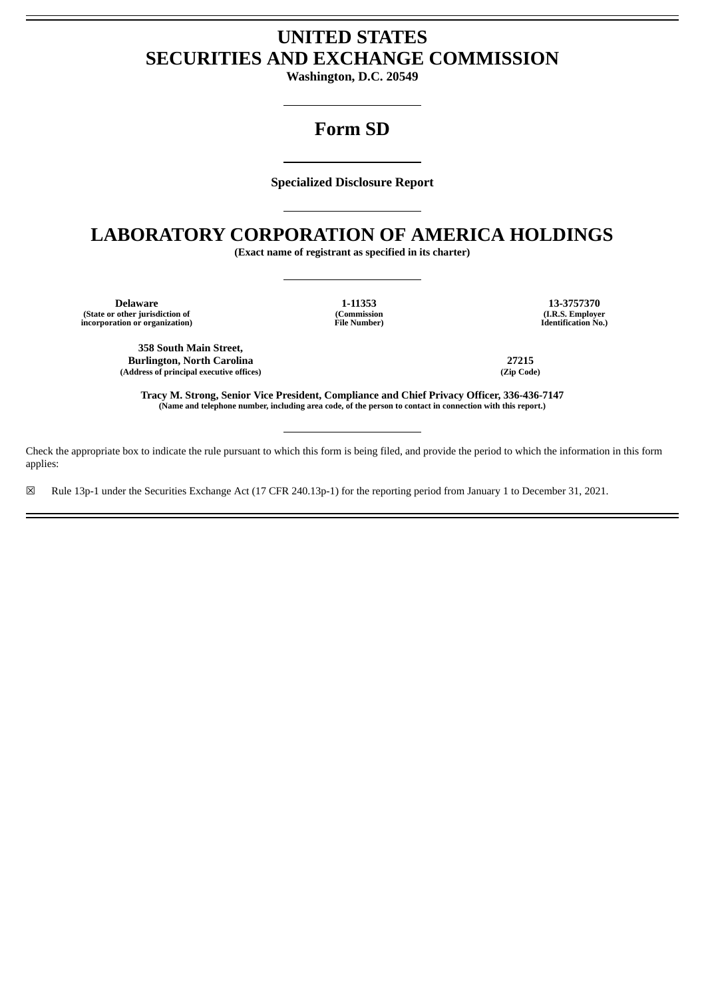# **UNITED STATES SECURITIES AND EXCHANGE COMMISSION**

**Washington, D.C. 20549**

## **Form SD**

**Specialized Disclosure Report**

### **LABORATORY CORPORATION OF AMERICA HOLDINGS**

**(Exact name of registrant as specified in its charter)**

**Delaware 1-11353 13-3757370 (State or other jurisdiction of (Commission (I.R.S. Employer incorporation or organization) File Number) Identification No.)**

**358 South Main Street, Burlington, North Carolina 27215 (Address of principal executive offices) (Zip Code)**

**Tracy M. Strong, Senior Vice President, Compliance and Chief Privacy Officer, 336-436-7147** (Name and telephone number, including area code, of the person to contact in connection with this report.)

Check the appropriate box to indicate the rule pursuant to which this form is being filed, and provide the period to which the information in this form applies:

☒ Rule 13p-1 under the Securities Exchange Act (17 CFR 240.13p-1) for the reporting period from January 1 to December 31, 2021.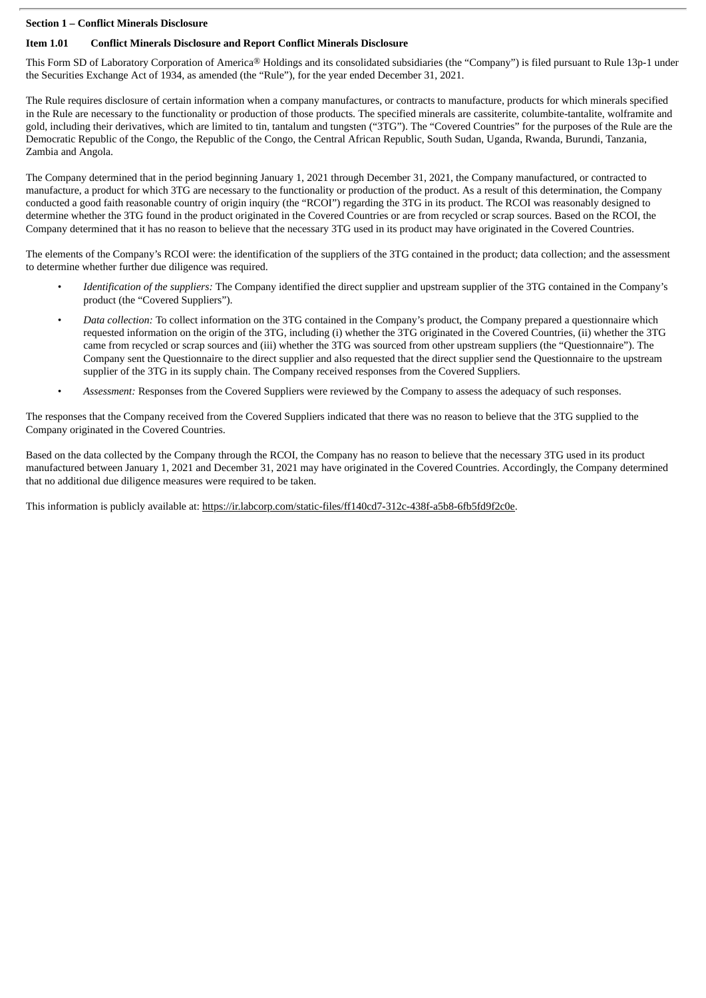#### **Section 1 – Conflict Minerals Disclosure**

#### **Item 1.01 Conflict Minerals Disclosure and Report Conflict Minerals Disclosure**

This Form SD of Laboratory Corporation of America® Holdings and its consolidated subsidiaries (the "Company") is filed pursuant to Rule 13p-1 under the Securities Exchange Act of 1934, as amended (the "Rule"), for the year ended December 31, 2021.

The Rule requires disclosure of certain information when a company manufactures, or contracts to manufacture, products for which minerals specified in the Rule are necessary to the functionality or production of those products. The specified minerals are cassiterite, columbite-tantalite, wolframite and gold, including their derivatives, which are limited to tin, tantalum and tungsten ("3TG"). The "Covered Countries" for the purposes of the Rule are the Democratic Republic of the Congo, the Republic of the Congo, the Central African Republic, South Sudan, Uganda, Rwanda, Burundi, Tanzania, Zambia and Angola.

The Company determined that in the period beginning January 1, 2021 through December 31, 2021, the Company manufactured, or contracted to manufacture, a product for which 3TG are necessary to the functionality or production of the product. As a result of this determination, the Company conducted a good faith reasonable country of origin inquiry (the "RCOI") regarding the 3TG in its product. The RCOI was reasonably designed to determine whether the 3TG found in the product originated in the Covered Countries or are from recycled or scrap sources. Based on the RCOI, the Company determined that it has no reason to believe that the necessary 3TG used in its product may have originated in the Covered Countries.

The elements of the Company's RCOI were: the identification of the suppliers of the 3TG contained in the product; data collection; and the assessment to determine whether further due diligence was required.

- *Identification of the suppliers:* The Company identified the direct supplier and upstream supplier of the 3TG contained in the Company's product (the "Covered Suppliers").
- *Data collection:* To collect information on the 3TG contained in the Company's product, the Company prepared a questionnaire which requested information on the origin of the 3TG, including (i) whether the 3TG originated in the Covered Countries, (ii) whether the 3TG came from recycled or scrap sources and (iii) whether the 3TG was sourced from other upstream suppliers (the "Questionnaire"). The Company sent the Questionnaire to the direct supplier and also requested that the direct supplier send the Questionnaire to the upstream supplier of the 3TG in its supply chain. The Company received responses from the Covered Suppliers.
- *Assessment:* Responses from the Covered Suppliers were reviewed by the Company to assess the adequacy of such responses.

The responses that the Company received from the Covered Suppliers indicated that there was no reason to believe that the 3TG supplied to the Company originated in the Covered Countries.

Based on the data collected by the Company through the RCOI, the Company has no reason to believe that the necessary 3TG used in its product manufactured between January 1, 2021 and December 31, 2021 may have originated in the Covered Countries. Accordingly, the Company determined that no additional due diligence measures were required to be taken.

This information is publicly available at: https://ir.labcorp.com/static-files/ff140cd7-312c-438f-a5b8-6fb5fd9f2c0e.